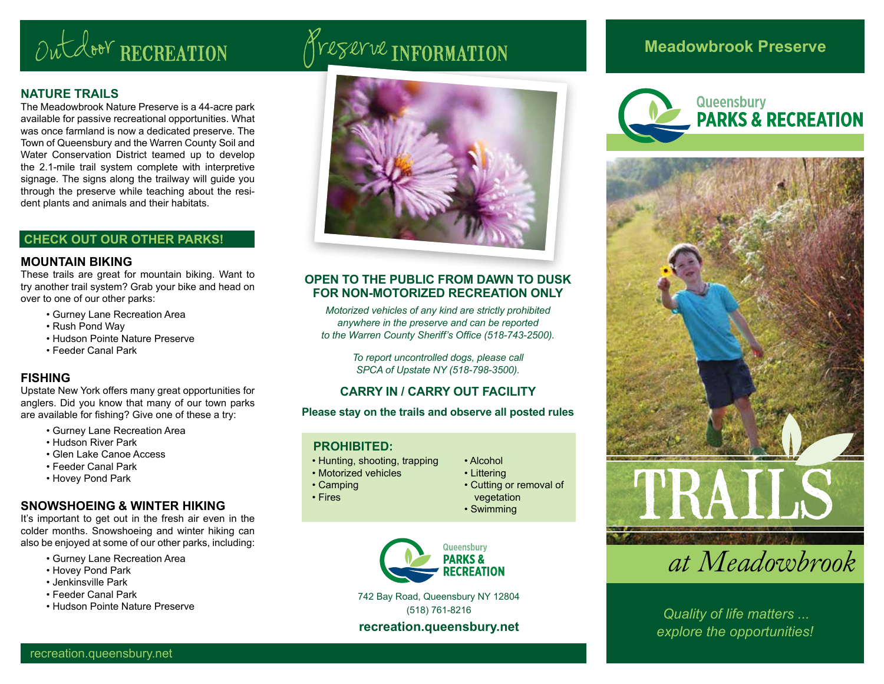# Outdoor RECREATION Treserve INFORMATION

#### **NATURE TRAILS**

The Meadowbrook Nature Preserve is a 44-acre park available for passive recreational opportunities. What was once farmland is now a dedicated preserve. The Town of Queensbury and the Warren County Soil and Water Conservation District teamed up to develop the 2.1-mile trail system complete with interpretive signage. The signs along the trailway will guide you through the preserve while teaching about the resident plants and animals and their habitats.

#### **CHECK OUT OUR OTHER PARKS!**

#### **MOUNTAIN BIKING**

These trails are great for mountain biking. Want to try another trail system? Grab your bike and head on over to one of our other parks:

- Gurney Lane Recreation Area
- Rush Pond Way
- Hudson Pointe Nature Preserve
- Feeder Canal Park

#### **FISHING**

Upstate New York offers many great opportunities for anglers. Did you know that many of our town parks are available for fishing? Give one of these a try:

- Gurney Lane Recreation Area
- Hudson River Park
- Glen Lake Canoe Access
- Feeder Canal Park
- Hovey Pond Park

#### **SNOWSHOEING & WINTER HIKING**

It's important to get out in the fresh air even in the colder months. Snowshoeing and winter hiking can also be enjoyed at some of our other parks, including:

- Gurney Lane Recreation Area
- Hovey Pond Park
- Jenkinsville Park
- Feeder Canal Park
- 



#### **OPEN TO THE PUBLIC FROM DAWN TO DUSK FOR NON-MOTORIZED RECREATION ONLY**

*Motorized vehicles of any kind are strictly prohibited anywhere in the preserve and can be reported to the Warren County Sheriff's Office (518-743-2500).*

> *To report uncontrolled dogs, please call SPCA of Upstate NY (518-798-3500).*

#### **CARRY IN / CARRY OUT FACILITY**

#### **Please stay on the trails and observe all posted rules**

#### **PROHIBITED:**

• Camping • Fires

- Hunting, shooting, trapping
- Motorized vehicles
- 
- 
- 



742 Bay Road, Queensbury NY 12804 (518) 761-8216 • Hudson Pointe Nature Preserve *Quality of life matters ...* 

#### **recreation.queensbury.net**

### **Meadowbrook Preserve**





*at Meadowbrook* 

*explore the opportunities!*

• Alcohol • Littering • Cutting or removal of

vegetation • Swimming